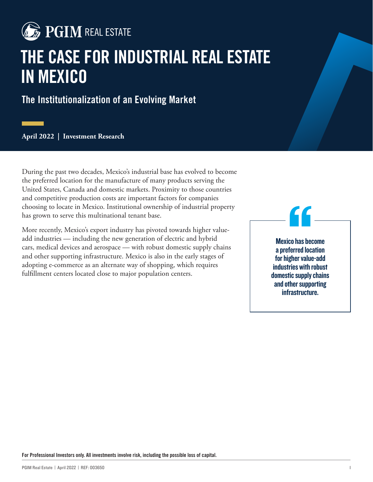

# **THE CASE FOR INDUSTRIAL REAL ESTATE IN MEXICO**

**The Institutionalization of an Evolving Market**

**April 2022 | Investment Research**

During the past two decades, Mexico's industrial base has evolved to become the preferred location for the manufacture of many products serving the United States, Canada and domestic markets. Proximity to those countries and competitive production costs are important factors for companies choosing to locate in Mexico. Institutional ownership of industrial property has grown to serve this multinational tenant base.

More recently, Mexico's export industry has pivoted towards higher valueadd industries — including the new generation of electric and hybrid cars, medical devices and aerospace — with robust domestic supply chains and other supporting infrastructure. Mexico is also in the early stages of adopting e-commerce as an alternate way of shopping, which requires fulfillment centers located close to major population centers.

Mexico has become a preferred location for higher value-add industries with robust domestic supply chains and other supporting infrastructure. "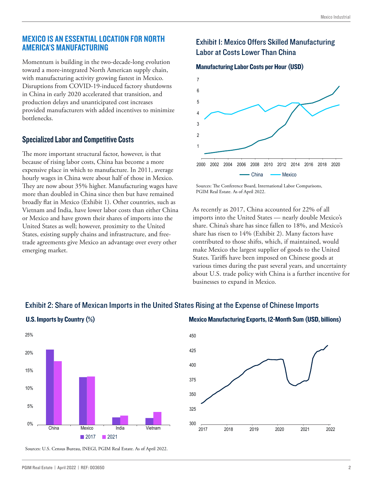#### MEXICO IS AN ESSENTIAL LOCATION FOR NORTH AMERICA'S MANUFACTURING

Momentum is building in the two-decade-long evolution toward a more-integrated North American supply chain, with manufacturing activity growing fastest in Mexico. Disruptions from COVID-19-induced factory shutdowns in China in early 2020 accelerated that transition, and production delays and unanticipated cost increases provided manufacturers with added incentives to minimize **bottlenecks** 

### Specialized Labor and Competitive Costs

The more important structural factor, however, is that because of rising labor costs, China has become a more expensive place in which to manufacture. In 2011, average hourly wages in China were about half of those in Mexico. They are now about 35% higher. Manufacturing wages have more than doubled in China since then but have remained broadly flat in Mexico (Exhibit 1). Other countries, such as Vietnam and India, have lower labor costs than either China or Mexico and have grown their shares of imports into the United States as well; however, proximity to the United States, existing supply chains and infrastructure, and freetrade agreements give Mexico an advantage over every other emerging market.

# **Exhibit I: Mexico Offers Skilled Manufacturing** Labor at Costs Lower Than China

#### Manufacturing Labor Costs per Hour (USD)



Sources: The Conference Board, International Labor Comparisons, PGIM Real Estate. As of April 2022.

As recently as 2017, China accounted for 22% of all imports into the United States — nearly double Mexico's share. China's share has since fallen to 18%, and Mexico's share has risen to 14% (Exhibit 2). Many factors have contributed to those shifts, which, if maintained, would make Mexico the largest supplier of goods to the United States. Tariffs have been imposed on Chinese goods at various times during the past several years, and uncertainty about U.S. trade policy with China is a further incentive for businesses to expand in Mexico.

# 0% 5% 10% 15% 20% 25% China Mexico India Vietnam ■ 2017 ■ 2021

Sources: U.S. Census Bureau, INEGI, PGIM Real Estate. As of April 2022.

# U.S. Imports by Country (%) COUNTY (%) Mexico Manufacturing Exports, 12-Month Sum (USD, billions)

Exhibit 2: Share of Mexican Imports in the United States Rising at the Expense of Chinese Imports

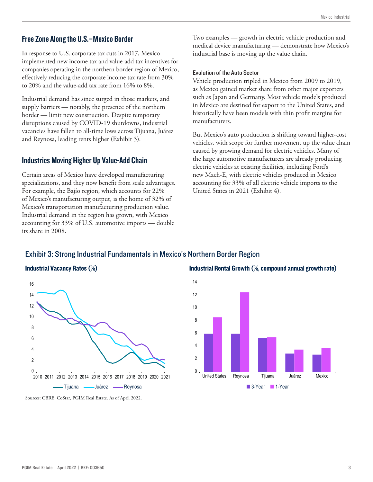#### Free Zone Along the U.S.–Mexico Border

In response to U.S. corporate tax cuts in 2017, Mexico implemented new income tax and value-add tax incentives for companies operating in the northern border region of Mexico, effectively reducing the corporate income tax rate from 30% to 20% and the value-add tax rate from 16% to 8%.

Industrial demand has since surged in those markets, and supply barriers — notably, the presence of the northern border — limit new construction. Despite temporary disruptions caused by COVID-19 shutdowns, industrial vacancies have fallen to all-time lows across Tijuana, Juárez and Reynosa, leading rents higher (Exhibit 3).

#### Industries Moving Higher Up Value-Add Chain

Certain areas of Mexico have developed manufacturing specializations, and they now benefit from scale advantages. For example, the Bajío region, which accounts for 22% of Mexico's manufacturing output, is the home of 32% of Mexico's transportation manufacturing production value. Industrial demand in the region has grown, with Mexico accounting for 33% of U.S. automotive imports — double its share in 2008.

Two examples — growth in electric vehicle production and medical device manufacturing — demonstrate how Mexico's industrial base is moving up the value chain.

#### Evolution of the Auto Sector

Vehicle production tripled in Mexico from 2009 to 2019, as Mexico gained market share from other major exporters such as Japan and Germany. Most vehicle models produced in Mexico are destined for export to the United States, and historically have been models with thin profit margins for manufacturers.

But Mexico's auto production is shifting toward higher-cost vehicles, with scope for further movement up the value chain caused by growing demand for electric vehicles. Many of the large automotive manufacturers are already producing electric vehicles at existing facilities, including Ford's new Mach-E, with electric vehicles produced in Mexico accounting for 33% of all electric vehicle imports to the United States in 2021 (Exhibit 4).

#### Exhibit 3: Strong Industrial Fundamentals in Mexico's Northern Border Region



Industrial Vacancy Rates (%) The Compound annual growth rate) Industrial Rental Growth (%, compound annual growth rate)



Sources: CBRE, CoStar, PGIM Real Estate. As of April 2022.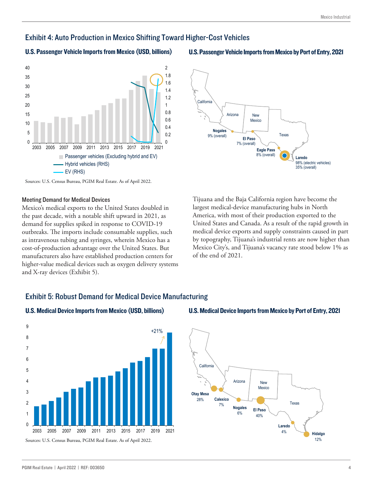### Exhibit 4: Auto Production in Mexico Shifting Toward Higher-Cost Vehicles

#### U.S. Passenger Vehicle Imports from Mexico (USD, billions) U.S. Passenger Vehicle Imports from Mexico by Port of Entry, 2021



Sources: U.S. Census Bureau, PGIM Real Estate. As of April 2022.

#### Meeting Demand for Medical Devices

Mexico's medical exports to the United States doubled in the past decade, with a notable shift upward in 2021, as demand for supplies spiked in response to COVID-19 outbreaks. The imports include consumable supplies, such as intravenous tubing and syringes, wherein Mexico has a cost-of-production advantage over the United States. But manufacturers also have established production centers for higher-value medical devices such as oxygen delivery systems and X-ray devices (Exhibit 5).



Tijuana and the Baja California region have become the largest medical-device manufacturing hubs in North America, with most of their production exported to the United States and Canada. As a result of the rapid growth in medical device exports and supply constraints caused in part by topography, Tijuana's industrial rents are now higher than Mexico City's, and Tijuana's vacancy rate stood below 1% as of the end of 2021.

#### Exhibit 5: Robust Demand for Medical Device Manufacturing



#### U.S. Medical Device Imports from Mexico (USD, billions) U.S. Medical Device Imports from Mexico by Port of Entry, 2021

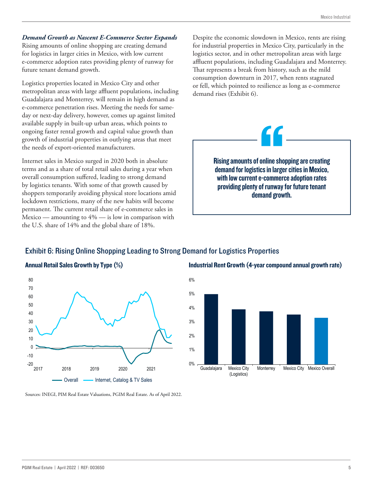#### *Demand Growth as Nascent E-Commerce Sector Expands*

Rising amounts of online shopping are creating demand for logistics in larger cities in Mexico, with low current e-commerce adoption rates providing plenty of runway for future tenant demand growth.

Logistics properties located in Mexico City and other metropolitan areas with large affluent populations, including Guadalajara and Monterrey, will remain in high demand as e-commerce penetration rises. Meeting the needs for sameday or next-day delivery, however, comes up against limited available supply in built-up urban areas, which points to ongoing faster rental growth and capital value growth than growth of industrial properties in outlying areas that meet the needs of export-oriented manufacturers.

Internet sales in Mexico surged in 2020 both in absolute terms and as a share of total retail sales during a year when overall consumption suffered, leading to strong demand by logistics tenants. With some of that growth caused by shoppers temporarily avoiding physical store locations amid lockdown restrictions, many of the new habits will become permanent. The current retail share of e-commerce sales in Mexico — amounting to 4% — is low in comparison with the U.S. share of 14% and the global share of 18%.

Despite the economic slowdown in Mexico, rents are rising for industrial properties in Mexico City, particularly in the logistics sector, and in other metropolitan areas with large affluent populations, including Guadalajara and Monterrey. That represents a break from history, such as the mild consumption downturn in 2017, when rents stagnated or fell, which pointed to resilience as long as e-commerce demand rises (Exhibit 6).



Rising amounts of online shopping are creating demand for logistics in larger cities in Mexico, with low current e-commerce adoption rates providing plenty of runway for future tenant demand growth. **The Strain of The Strain Strain Strain Strain Strain Strain Strain Strain Strain Strain Strain Strain Strain Strain Strain Strain Strain Strain Strain Strain Strain Strain Strain Strain Strain Strain Strain Strain Strain** 

#### Exhibit 6: Rising Online Shopping Leading to Strong Demand for Logistics Properties



Industrial Rent Growth (4-year compound annual growth rate)



Sources: INEGI, PIM Real Estate Valuations, PGIM Real Estate. As of April 2022.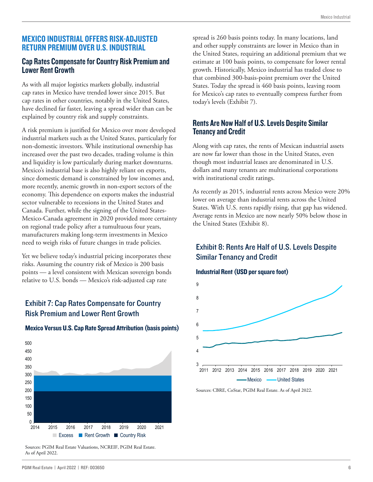#### MEXICO INDUSTRIAL OFFERS RISK-ADJUSTED RETURN PREMIUM OVER U.S. INDUSTRIAL

### Cap Rates Compensate for Country Risk Premium and Lower Rent Growth

As with all major logistics markets globally, industrial cap rates in Mexico have trended lower since 2015. But cap rates in other countries, notably in the United States, have declined far faster, leaving a spread wider than can be explained by country risk and supply constraints.

A risk premium is justified for Mexico over more developed industrial markets such as the United States, particularly for non-domestic investors. While institutional ownership has increased over the past two decades, trading volume is thin and liquidity is low particularly during market downturns. Mexico's industrial base is also highly reliant on exports, since domestic demand is constrained by low incomes and, more recently, anemic growth in non-export sectors of the economy. This dependence on exports makes the industrial sector vulnerable to recessions in the United States and Canada. Further, while the signing of the United States-Mexico-Canada agreement in 2020 provided more certainty on regional trade policy after a tumultuous four years, manufacturers making long-term investments in Mexico need to weigh risks of future changes in trade policies.

Yet we believe today's industrial pricing incorporates these risks. Assuming the country risk of Mexico is 200 basis points — a level consistent with Mexican sovereign bonds relative to U.S. bonds — Mexico's risk-adjusted cap rate

## Exhibit 7: Cap Rates Compensate for Country Risk Premium and Lower Rent Growth



#### Mexico Versus U.S. Cap Rate Spread Attribution (basis points)

Sources: PGIM Real Estate Valuations, NCREIF, PGIM Real Estate. As of April 2022.

spread is 260 basis points today. In many locations, land and other supply constraints are lower in Mexico than in the United States, requiring an additional premium that we estimate at 100 basis points, to compensate for lower rental growth. Historically, Mexico industrial has traded close to that combined 300-basis-point premium over the United States. Today the spread is 460 basis points, leaving room for Mexico's cap rates to eventually compress further from today's levels (Exhibit 7).

### Rents Are Now Half of U.S. Levels Despite Similar Tenancy and Credit

Along with cap rates, the rents of Mexican industrial assets are now far lower than those in the United States, even though most industrial leases are denominated in U.S. dollars and many tenants are multinational corporations with institutional credit ratings.

As recently as 2015, industrial rents across Mexico were 20% lower on average than industrial rents across the United States. With U.S. rents rapidly rising, that gap has widened. Average rents in Mexico are now nearly 50% below those in the United States (Exhibit 8).

## Exhibit 8: Rents Are Half of U.S. Levels Despite Similar Tenancy and Credit

#### Industrial Rent (USD per square foot)



Sources: CBRE, CoStar, PGIM Real Estate. As of April 2022.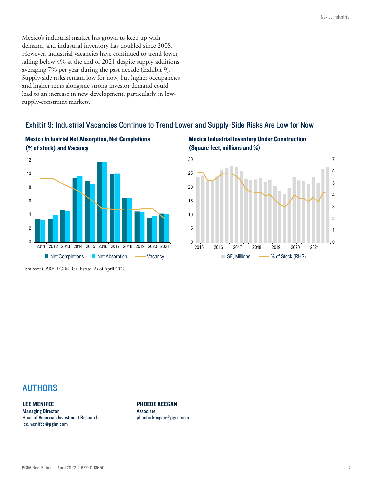Mexico's industrial market has grown to keep up with demand, and industrial inventory has doubled since 2008. However, industrial vacancies have continued to trend lower, falling below 4% at the end of 2021 despite supply additions averaging 7% per year during the past decade (Exhibit 9). Supply-side risks remain low for now, but higher occupancies and higher rents alongside strong investor demand could lead to an increase in new development, particularly in lowsupply-constraint markets.

## Exhibit 9: Industrial Vacancies Continue to Trend Lower and Supply-Side Risks Are Low for Now



# Mexico Industrial Net Absorption, Net Completions

Sources: CBRE, PGIM Real Estate. As of April 2022.

#### Mexico Industrial Inventory Under Construction (Square feet, millions and %)



# AUTHORS

#### LEE MENIFEE

Managing Director Head of Americas Investment Research lee.menifee@pgim.com

PHOEBE KEEGAN

Associate phoebe.keegan@pgim.com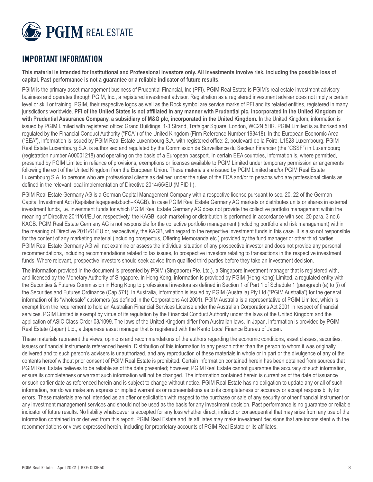

# **IMPORTANT INFORMATION**

**This material is intended for Institutional and Professional Investors only. All investments involve risk, including the possible loss of capital. Past performance is not a guarantee or a reliable indicator of future results.** 

PGIM is the primary asset management business of Prudential Financial, Inc (PFI). PGIM Real Estate is PGIM's real estate investment advisory business and operates through PGIM, Inc., a registered investment advisor. Registration as a registered investment adviser does not imply a certain level or skill or training. PGIM, their respective logos as well as the Rock symbol are service marks of PFI and its related entities, registered in many jurisdictions worldwide. **PFI of the United States is not affiliated in any manner with Prudential plc, incorporated in the United Kingdom or with Prudential Assurance Company, a subsidiary of M&G plc, incorporated in the United Kingdom.** In the United Kingdom, information is issued by PGIM Limited with registered office: Grand Buildings, 1-3 Strand, Trafalgar Square, London, WC2N 5HR. PGIM Limited is authorised and regulated by the Financial Conduct Authority ("FCA") of the United Kingdom (Firm Reference Number 193418). In the European Economic Area ("EEA"), information is issued by PGIM Real Estate Luxembourg S.A. with registered office: 2, boulevard de la Foire, L1528 Luxembourg. PGIM Real Estate Luxembourg S.A. is authorised and regulated by the Commission de Surveillance du Secteur Financier (the "CSSF") in Luxembourg (registration number A00001218) and operating on the basis of a European passport. In certain EEA countries, information is, where permitted, presented by PGIM Limited in reliance of provisions, exemptions or licenses available to PGIM Limited under temporary permission arrangements following the exit of the United Kingdom from the European Union. These materials are issued by PGIM Limited and/or PGIM Real Estate Luxembourg S.A. to persons who are professional clients as defined under the rules of the FCA and/or to persons who are professional clients as defined in the relevant local implementation of Directive 2014/65/EU (MiFID II).

PGIM Real Estate Germany AG is a German Capital Management Company with a respective license pursuant to sec. 20, 22 of the German Capital Investment Act (Kapitalanlagegesetzbuch–KAGB). In case PGIM Real Estate Germany AG markets or distributes units or shares in external investment funds, i.e. investment funds for which PGIM Real Estate Germany AG does not provide the collective portfolio management within the meaning of Directive 2011/61/EU or, respectively, the KAGB, such marketing or distribution is performed in accordance with sec. 20 para. 3 no.6 KAGB. PGIM Real Estate Germany AG is not responsible for the collective portfolio management (including portfolio and risk management) within the meaning of Directive 2011/61/EU or, respectively, the KAGB, with regard to the respective investment funds in this case. It is also not responsible for the content of any marketing material (including prospectus, Offering Memoranda etc.) provided by the fund manager or other third parties. PGIM Real Estate Germany AG will not examine or assess the individual situation of any prospective investor and does not provide any personal recommendations, including recommendations related to tax issues, to prospective investors relating to transactions in the respective investment funds. Where relevant, prospective investors should seek advice from qualified third parties before they take an investment decision.

The information provided in the document is presented by PGIM (Singapore) Pte. Ltd.), a Singapore investment manager that is registered with, and licensed by the Monetary Authority of Singapore. In Hong Kong, information is provided by PGIM (Hong Kong) Limited, a regulated entity with the Securities & Futures Commission in Hong Kong to professional investors as defined in Section 1 of Part 1 of Schedule 1 (paragraph (a) to (i) of the Securities and Futures Ordinance (Cap.571). In Australia, information is issued by PGIM (Australia) Pty Ltd ("PGIM Australia") for the general information of its "wholesale" customers (as defined in the Corporations Act 2001). PGIM Australia is a representative of PGIM Limited, which is exempt from the requirement to hold an Australian Financial Services License under the Australian Corporations Act 2001 in respect of financial services. PGIM Limited is exempt by virtue of its regulation by the Financial Conduct Authority under the laws of the United Kingdom and the application of ASIC Class Order 03/1099. The laws of the United Kingdom differ from Australian laws. In Japan, information is provided by PGIM Real Estate (Japan) Ltd., a Japanese asset manager that is registered with the Kanto Local Finance Bureau of Japan.

These materials represent the views, opinions and recommendations of the authors regarding the economic conditions, asset classes, securities, issuers or financial instruments referenced herein. Distribution of this information to any person other than the person to whom it was originally delivered and to such person's advisers is unauthorized, and any reproduction of these materials in whole or in part or the divulgence of any of the contents hereof without prior consent of PGIM Real Estate is prohibited. Certain information contained herein has been obtained from sources that PGIM Real Estate believes to be reliable as of the date presented; however, PGIM Real Estate cannot guarantee the accuracy of such information, ensure its completeness or warrant such information will not be changed. The information contained herein is current as of the date of issuance or such earlier date as referenced herein and is subject to change without notice. PGIM Real Estate has no obligation to update any or all of such information, nor do we make any express or implied warranties or representations as to its completeness or accuracy or accept responsibility for errors. These materials are not intended as an offer or solicitation with respect to the purchase or sale of any security or other financial instrument or any investment management services and should not be used as the basis for any investment decision. Past performance is no guarantee or reliable indicator of future results. No liability whatsoever is accepted for any loss whether direct, indirect or consequential that may arise from any use of the information contained in or derived from this report. PGIM Real Estate and its affiliates may make investment decisions that are inconsistent with the recommendations or views expressed herein, including for proprietary accounts of PGIM Real Estate or its affiliates.